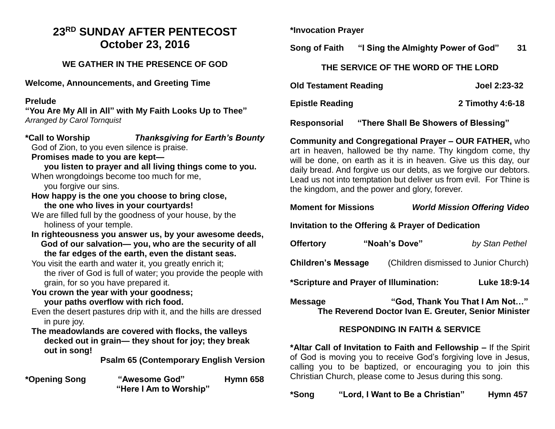# **23RD SUNDAY AFTER PENTECOST October 23, 2016**

# **WE GATHER IN THE PRESENCE OF GOD**

**Welcome, Announcements, and Greeting Time** 

# **Prelude**

**"You Are My All in All" with My Faith Looks Up to Thee"**  *Arranged by Carol Tornquist*

**\*Call to Worship** *Thanksgiving for Earth's Bounty*  God of Zion, to you even silence is praise.

#### **Promises made to you are kept—**

**you listen to prayer and all living things come to you.** When wrongdoings become too much for me,

you forgive our sins.

**How happy is the one you choose to bring close, the one who lives in your courtyards!**

We are filled full by the goodness of your house, by the holiness of your temple.

- **In righteousness you answer us, by your awesome deeds, God of our salvation— you, who are the security of all the far edges of the earth, even the distant seas.**
- You visit the earth and water it, you greatly enrich it; the river of God is full of water; you provide the people with grain, for so you have prepared it.
- **You crown the year with your goodness; your paths overflow with rich food.**
- Even the desert pastures drip with it, and the hills are dressed in pure joy.
- **The meadowlands are covered with flocks, the valleys decked out in grain— they shout for joy; they break out in song!**

**Psalm 65 (Contemporary English Version**

**\*Opening Song "Awesome God" Hymn 658 "Here I Am to Worship"**

**\*Invocation Prayer** 

**Song of Faith "I Sing the Almighty Power of God" 31**

#### **THE SERVICE OF THE WORD OF THE LORD**

| <b>Old Testament Reading</b> | Joel 2:23-32     |
|------------------------------|------------------|
| <b>Epistle Reading</b>       | 2 Timothy 4:6-18 |

**Responsorial "There Shall Be Showers of Blessing"** 

**Community and Congregational Prayer – OUR FATHER,** who art in heaven, hallowed be thy name. Thy kingdom come, thy will be done, on earth as it is in heaven. Give us this day, our daily bread. And forgive us our debts, as we forgive our debtors. Lead us not into temptation but deliver us from evil. For Thine is the kingdom, and the power and glory, forever.

# **Moment for Missions** *World Mission Offering Video*

**Invitation to the Offering & Prayer of Dedication** 

| <b>Offertory</b>          | "Noah's Dove" | by Stan Pethel                        |
|---------------------------|---------------|---------------------------------------|
| <b>Children's Message</b> |               | (Children dismissed to Junior Church) |
|                           |               |                                       |

**\*Scripture and Prayer of Illumination: Luke 18:9-14** 

**Message "God, Thank You That I Am Not…" The Reverend Doctor Ivan E. Greuter, Senior Minister**

# **RESPONDING IN FAITH & SERVICE**

**\*Altar Call of Invitation to Faith and Fellowship –** If the Spirit of God is moving you to receive God's forgiving love in Jesus, calling you to be baptized, or encouraging you to join this Christian Church, please come to Jesus during this song.

**\*Song "Lord, I Want to Be a Christian" Hymn 457**